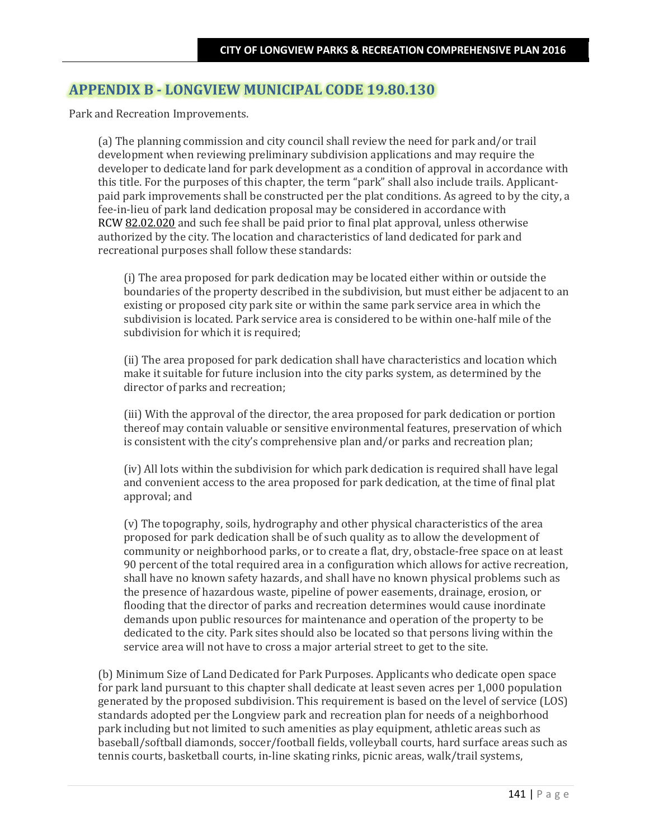## **APPENDIX B - LONGVIEW MUNICIPAL CODE 19.80.130**

Park and Recreation Improvements.

(a) The planning commission and city council shall review the need for park and/or trail development when reviewing preliminary subdivision applications and may require the developer to dedicate land for park development as a condition of approval in accordance with this title. For the purposes of this chapter, the term "park" shall also include trails. Applicantpaid park improvements shall be constructed per the plat conditions. As agreed to by the city, a fee-in-lieu of park land dedication proposal may be considered in accordance with RCW 82.02.020 and such fee shall be paid prior to final plat approval, unless otherwise authorized by the city. The location and characteristics of land dedicated for park and recreational purposes shall follow these standards:

(i) The area proposed for park dedication may be located either within or outside the boundaries of the property described in the subdivision, but must either be adjacent to an existing or proposed city park site or within the same park service area in which the subdivision is located. Park service area is considered to be within one-half mile of the subdivision for which it is required;

(ii) The area proposed for park dedication shall have characteristics and location which make it suitable for future inclusion into the city parks system, as determined by the director of parks and recreation;

(iii) With the approval of the director, the area proposed for park dedication or portion thereof may contain valuable or sensitive environmental features, preservation of which is consistent with the city's comprehensive plan and/or parks and recreation plan;

(iv) All lots within the subdivision for which park dedication is required shall have legal and convenient access to the area proposed for park dedication, at the time of final plat approval; and

(v) The topography, soils, hydrography and other physical characteristics of the area proposed for park dedication shall be of such quality as to allow the development of community or neighborhood parks, or to create a flat, dry, obstacle-free space on at least 90 percent of the total required area in a configuration which allows for active recreation, shall have no known safety hazards, and shall have no known physical problems such as the presence of hazardous waste, pipeline of power easements, drainage, erosion, or flooding that the director of parks and recreation determines would cause inordinate demands upon public resources for maintenance and operation of the property to be dedicated to the city. Park sites should also be located so that persons living within the service area will not have to cross a major arterial street to get to the site.

(b) Minimum Size of Land Dedicated for Park Purposes. Applicants who dedicate open space for park land pursuant to this chapter shall dedicate at least seven acres per 1,000 population generated by the proposed subdivision. This requirement is based on the level of service (LOS) standards adopted per the Longview park and recreation plan for needs of a neighborhood park including but not limited to such amenities as play equipment, athletic areas such as baseball/softball diamonds, soccer/football fields, volleyball courts, hard surface areas such as tennis courts, basketball courts, in-line skating rinks, picnic areas, walk/trail systems,